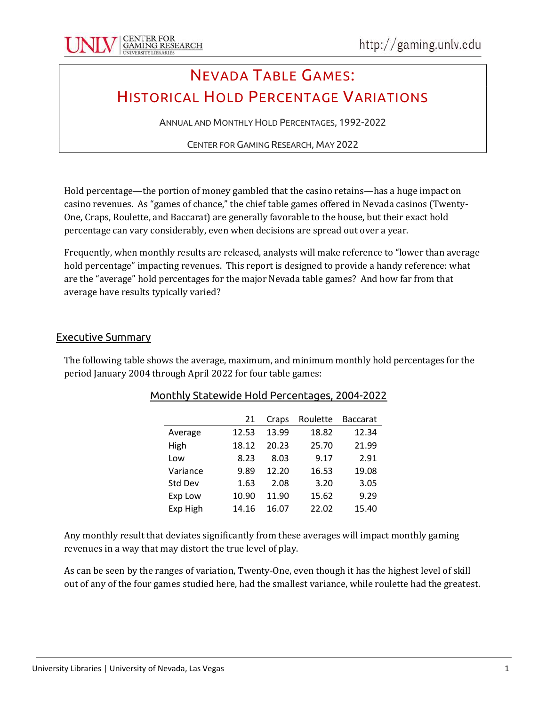# NEVADA TABLE GAMES: HISTORICAL HOLD PERCENTAGE VARIATIONS

ANNUAL AND MONTHLY HOLD PERCENTAGES, 1992-2022

CENTER FOR GAMING RESEARCH, MAY 2022

Hold percentage—the portion of money gambled that the casino retains—has a huge impact on casino revenues. As "games of chance," the chief table games offered in Nevada casinos (Twenty-One, Craps, Roulette, and Baccarat) are generally favorable to the house, but their exact hold percentage can vary considerably, even when decisions are spread out over a year.

Frequently, when monthly results are released, analysts will make reference to "lower than average hold percentage" impacting revenues. This report is designed to provide a handy reference: what are the "average" hold percentages for the major Nevada table games? And how far from that average have results typically varied?

#### Executive Summary

The following table shows the average, maximum, and minimum monthly hold percentages for the period January 2004 through April 2022 for four table games:

|          | 21    | Craps | Roulette | <b>Baccarat</b> |
|----------|-------|-------|----------|-----------------|
| Average  | 12.53 | 13.99 | 18.82    | 12.34           |
| High     | 18.12 | 20.23 | 25.70    | 21.99           |
| Low      | 8.23  | 8.03  | 9.17     | 2.91            |
| Variance | 9.89  | 12.20 | 16.53    | 19.08           |
| Std Dev  | 1.63  | 2.08  | 3.20     | 3.05            |
| Exp Low  | 10.90 | 11.90 | 15.62    | 9.29            |
| Exp High | 14.16 | 16.07 | 22.02    | 15.40           |
|          |       |       |          |                 |

Any monthly result that deviates significantly from these averages will impact monthly gaming revenues in a way that may distort the true level of play.

As can be seen by the ranges of variation, Twenty-One, even though it has the highest level of skill out of any of the four games studied here, had the smallest variance, while roulette had the greatest.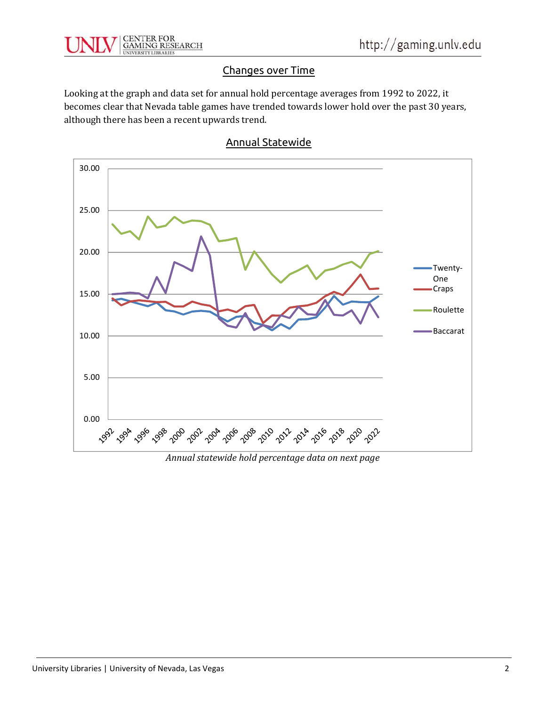

### Changes over Time

Looking at the graph and data set for annual hold percentage averages from 1992 to 2022, it becomes clear that Nevada table games have trended towards lower hold over the past 30 years, although there has been a recent upwards trend.



#### Annual Statewide

Annual statewide hold percentage data on next page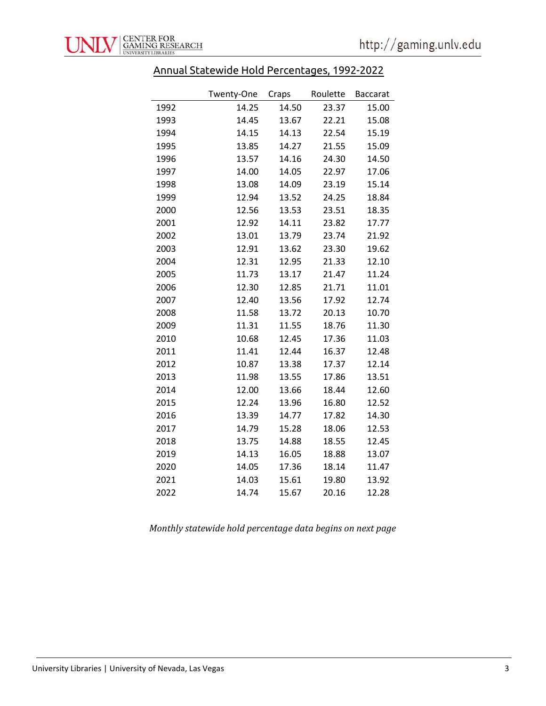## Annual Statewide Hold Percentages, 1992-2022

|      | Twenty-One | Craps | Roulette | <b>Baccarat</b> |
|------|------------|-------|----------|-----------------|
| 1992 | 14.25      | 14.50 | 23.37    | 15.00           |
| 1993 | 14.45      | 13.67 | 22.21    | 15.08           |
| 1994 | 14.15      | 14.13 | 22.54    | 15.19           |
| 1995 | 13.85      | 14.27 | 21.55    | 15.09           |
| 1996 | 13.57      | 14.16 | 24.30    | 14.50           |
| 1997 | 14.00      | 14.05 | 22.97    | 17.06           |
| 1998 | 13.08      | 14.09 | 23.19    | 15.14           |
| 1999 | 12.94      | 13.52 | 24.25    | 18.84           |
| 2000 | 12.56      | 13.53 | 23.51    | 18.35           |
| 2001 | 12.92      | 14.11 | 23.82    | 17.77           |
| 2002 | 13.01      | 13.79 | 23.74    | 21.92           |
| 2003 | 12.91      | 13.62 | 23.30    | 19.62           |
| 2004 | 12.31      | 12.95 | 21.33    | 12.10           |
| 2005 | 11.73      | 13.17 | 21.47    | 11.24           |
| 2006 | 12.30      | 12.85 | 21.71    | 11.01           |
| 2007 | 12.40      | 13.56 | 17.92    | 12.74           |
| 2008 | 11.58      | 13.72 | 20.13    | 10.70           |
| 2009 | 11.31      | 11.55 | 18.76    | 11.30           |
| 2010 | 10.68      | 12.45 | 17.36    | 11.03           |
| 2011 | 11.41      | 12.44 | 16.37    | 12.48           |
| 2012 | 10.87      | 13.38 | 17.37    | 12.14           |
| 2013 | 11.98      | 13.55 | 17.86    | 13.51           |
| 2014 | 12.00      | 13.66 | 18.44    | 12.60           |
| 2015 | 12.24      | 13.96 | 16.80    | 12.52           |
| 2016 | 13.39      | 14.77 | 17.82    | 14.30           |
| 2017 | 14.79      | 15.28 | 18.06    | 12.53           |
| 2018 | 13.75      | 14.88 | 18.55    | 12.45           |
| 2019 | 14.13      | 16.05 | 18.88    | 13.07           |
| 2020 | 14.05      | 17.36 | 18.14    | 11.47           |
| 2021 | 14.03      | 15.61 | 19.80    | 13.92           |
| 2022 | 14.74      | 15.67 | 20.16    | 12.28           |

Monthly statewide hold percentage data begins on next page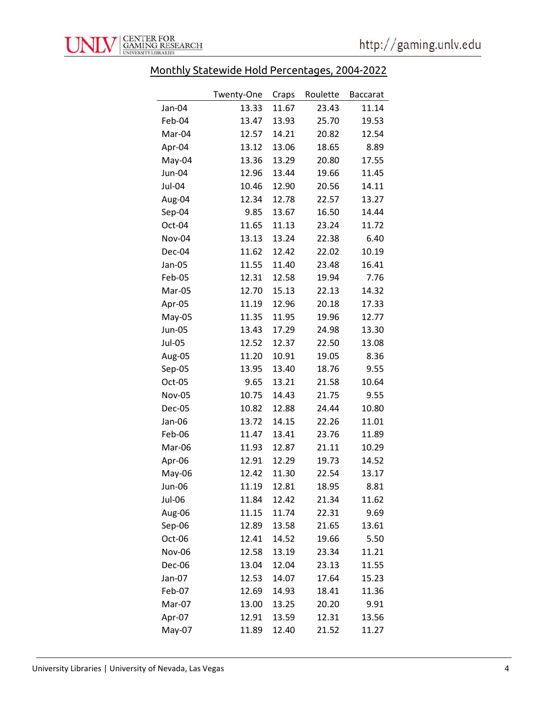

## Monthly Statewide Hold Percentages, 2004-2022

|               | Twenty-One | Craps | Roulette | <b>Baccarat</b> |
|---------------|------------|-------|----------|-----------------|
| Jan-04        | 13.33      | 11.67 | 23.43    | 11.14           |
| Feb-04        | 13.47      | 13.93 | 25.70    | 19.53           |
| Mar-04        | 12.57      | 14.21 | 20.82    | 12.54           |
| Apr-04        | 13.12      | 13.06 | 18.65    | 8.89            |
| May-04        | 13.36      | 13.29 | 20.80    | 17.55           |
| Jun-04        | 12.96      | 13.44 | 19.66    | 11.45           |
| Jul-04        | 10.46      | 12.90 | 20.56    | 14.11           |
| Aug-04        | 12.34      | 12.78 | 22.57    | 13.27           |
| Sep-04        | 9.85       | 13.67 | 16.50    | 14.44           |
| Oct-04        | 11.65      | 11.13 | 23.24    | 11.72           |
| Nov-04        | 13.13      | 13.24 | 22.38    | 6.40            |
| Dec-04        | 11.62      | 12.42 | 22.02    | 10.19           |
| Jan-05        | 11.55      | 11.40 | 23.48    | 16.41           |
| Feb-05        | 12.31      | 12.58 | 19.94    | 7.76            |
| Mar-05        | 12.70      | 15.13 | 22.13    | 14.32           |
| Apr-05        | 11.19      | 12.96 | 20.18    | 17.33           |
| May-05        | 11.35      | 11.95 | 19.96    | 12.77           |
| <b>Jun-05</b> | 13.43      | 17.29 | 24.98    | 13.30           |
| <b>Jul-05</b> | 12.52      | 12.37 | 22.50    | 13.08           |
| Aug-05        | 11.20      | 10.91 | 19.05    | 8.36            |
| Sep-05        | 13.95      | 13.40 | 18.76    | 9.55            |
| Oct-05        | 9.65       | 13.21 | 21.58    | 10.64           |
| <b>Nov-05</b> | 10.75      | 14.43 | 21.75    | 9.55            |
| Dec-05        | 10.82      | 12.88 | 24.44    | 10.80           |
| Jan-06        | 13.72      | 14.15 | 22.26    | 11.01           |
| Feb-06        | 11.47      | 13.41 | 23.76    | 11.89           |
| Mar-06        | 11.93      | 12.87 | 21.11    | 10.29           |
| Apr-06        | 12.91      | 12.29 | 19.73    | 14.52           |
| May-06        | 12.42      | 11.30 | 22.54    | 13.17           |
| Jun-06        | 11.19      | 12.81 | 18.95    | 8.81            |
| Jul-06        | 11.84      | 12.42 | 21.34    | 11.62           |
| Aug-06        | 11.15      | 11.74 | 22.31    | 9.69            |
| Sep-06        | 12.89      | 13.58 | 21.65    | 13.61           |
| Oct-06        | 12.41      | 14.52 | 19.66    | 5.50            |
| Nov-06        | 12.58      | 13.19 | 23.34    | 11.21           |
| Dec-06        | 13.04      | 12.04 | 23.13    | 11.55           |
| Jan-07        | 12.53      | 14.07 | 17.64    | 15.23           |
| Feb-07        | 12.69      | 14.93 | 18.41    | 11.36           |
| Mar-07        | 13.00      | 13.25 | 20.20    | 9.91            |
| Apr-07        | 12.91      | 13.59 | 12.31    | 13.56           |
| May-07        | 11.89      | 12.40 | 21.52    | 11.27           |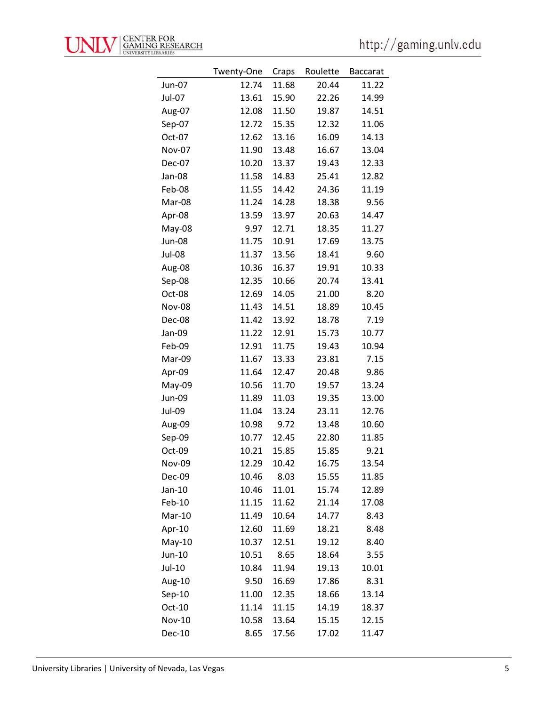|               | Twenty-One | Craps | Roulette | <b>Baccarat</b> |
|---------------|------------|-------|----------|-----------------|
| Jun-07        | 12.74      | 11.68 | 20.44    | 11.22           |
| Jul-07        | 13.61      | 15.90 | 22.26    | 14.99           |
| Aug-07        | 12.08      | 11.50 | 19.87    | 14.51           |
| Sep-07        | 12.72      | 15.35 | 12.32    | 11.06           |
| Oct-07        | 12.62      | 13.16 | 16.09    | 14.13           |
| Nov-07        | 11.90      | 13.48 | 16.67    | 13.04           |
| Dec-07        | 10.20      | 13.37 | 19.43    | 12.33           |
| Jan-08        | 11.58      | 14.83 | 25.41    | 12.82           |
| Feb-08        | 11.55      | 14.42 | 24.36    | 11.19           |
| Mar-08        | 11.24      | 14.28 | 18.38    | 9.56            |
| Apr-08        | 13.59      | 13.97 | 20.63    | 14.47           |
| May-08        | 9.97       | 12.71 | 18.35    | 11.27           |
| <b>Jun-08</b> | 11.75      | 10.91 | 17.69    | 13.75           |
| <b>Jul-08</b> | 11.37      | 13.56 | 18.41    | 9.60            |
| Aug-08        | 10.36      | 16.37 | 19.91    | 10.33           |
| Sep-08        | 12.35      | 10.66 | 20.74    | 13.41           |
| Oct-08        | 12.69      | 14.05 | 21.00    | 8.20            |
| <b>Nov-08</b> | 11.43      | 14.51 | 18.89    | 10.45           |
| Dec-08        | 11.42      | 13.92 | 18.78    | 7.19            |
| Jan-09        | 11.22      | 12.91 | 15.73    | 10.77           |
| Feb-09        | 12.91      | 11.75 | 19.43    | 10.94           |
| Mar-09        | 11.67      | 13.33 | 23.81    | 7.15            |
| Apr-09        | 11.64      | 12.47 | 20.48    | 9.86            |
| May-09        | 10.56      | 11.70 | 19.57    | 13.24           |
| Jun-09        | 11.89      | 11.03 | 19.35    | 13.00           |
| Jul-09        | 11.04      | 13.24 | 23.11    | 12.76           |
| Aug-09        | 10.98      | 9.72  | 13.48    | 10.60           |
| Sep-09        | 10.77      | 12.45 | 22.80    | 11.85           |
| Oct-09        | 10.21      | 15.85 | 15.85    | 9.21            |
| <b>Nov-09</b> | 12.29      | 10.42 | 16.75    | 13.54           |
| Dec-09        | 10.46      | 8.03  | 15.55    | 11.85           |
| $Jan-10$      | 10.46      | 11.01 | 15.74    | 12.89           |
| Feb-10        | 11.15      | 11.62 | 21.14    | 17.08           |
| Mar-10        | 11.49      | 10.64 | 14.77    | 8.43            |
| Apr-10        | 12.60      | 11.69 | 18.21    | 8.48            |
| $May-10$      | 10.37      | 12.51 | 19.12    | 8.40            |
| Jun-10        | 10.51      | 8.65  | 18.64    | 3.55            |
| Jul-10        | 10.84      | 11.94 | 19.13    | 10.01           |
| Aug-10        | 9.50       | 16.69 | 17.86    | 8.31            |
| $Sep-10$      | 11.00      | 12.35 | 18.66    | 13.14           |
| Oct-10        | 11.14      | 11.15 | 14.19    | 18.37           |
| <b>Nov-10</b> | 10.58      | 13.64 | 15.15    | 12.15           |
| <b>Dec-10</b> | 8.65       | 17.56 | 17.02    | 11.47           |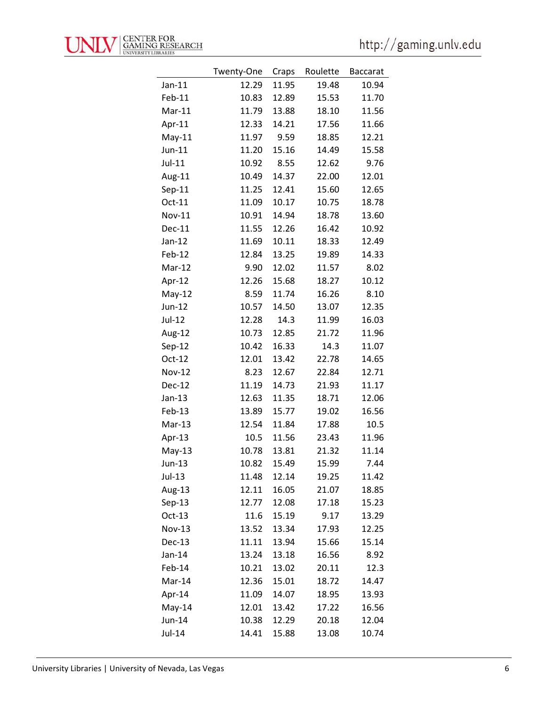|               | Twenty-One | Craps | Roulette | <b>Baccarat</b> |
|---------------|------------|-------|----------|-----------------|
| $Jan-11$      | 12.29      | 11.95 | 19.48    | 10.94           |
| Feb-11        | 10.83      | 12.89 | 15.53    | 11.70           |
| Mar-11        | 11.79      | 13.88 | 18.10    | 11.56           |
| Apr-11        | 12.33      | 14.21 | 17.56    | 11.66           |
| $May-11$      | 11.97      | 9.59  | 18.85    | 12.21           |
| Jun-11        | 11.20      | 15.16 | 14.49    | 15.58           |
| Jul-11        | 10.92      | 8.55  | 12.62    | 9.76            |
| Aug-11        | 10.49      | 14.37 | 22.00    | 12.01           |
| $Sep-11$      | 11.25      | 12.41 | 15.60    | 12.65           |
| Oct-11        | 11.09      | 10.17 | 10.75    | 18.78           |
| Nov-11        | 10.91      | 14.94 | 18.78    | 13.60           |
| <b>Dec-11</b> | 11.55      | 12.26 | 16.42    | 10.92           |
| $Jan-12$      | 11.69      | 10.11 | 18.33    | 12.49           |
| Feb-12        | 12.84      | 13.25 | 19.89    | 14.33           |
| Mar-12        | 9.90       | 12.02 | 11.57    | 8.02            |
| Apr-12        | 12.26      | 15.68 | 18.27    | 10.12           |
| $May-12$      | 8.59       | 11.74 | 16.26    | 8.10            |
| Jun-12        | 10.57      | 14.50 | 13.07    | 12.35           |
| Jul-12        | 12.28      | 14.3  | 11.99    | 16.03           |
| Aug-12        | 10.73      | 12.85 | 21.72    | 11.96           |
| Sep-12        | 10.42      | 16.33 | 14.3     | 11.07           |
| Oct-12        | 12.01      | 13.42 | 22.78    | 14.65           |
| <b>Nov-12</b> | 8.23       | 12.67 | 22.84    | 12.71           |
| Dec-12        | 11.19      | 14.73 | 21.93    | 11.17           |
| $Jan-13$      | 12.63      | 11.35 | 18.71    | 12.06           |
| Feb-13        | 13.89      | 15.77 | 19.02    | 16.56           |
| Mar-13        | 12.54      | 11.84 | 17.88    | 10.5            |
| Apr-13        | 10.5       | 11.56 | 23.43    | 11.96           |
| $May-13$      | 10.78      | 13.81 | 21.32    | 11.14           |
| Jun-13        | 10.82      | 15.49 | 15.99    | 7.44            |
| Jul-13        | 11.48      | 12.14 | 19.25    | 11.42           |
| Aug-13        | 12.11      | 16.05 | 21.07    | 18.85           |
| $Sep-13$      | 12.77      | 12.08 | 17.18    | 15.23           |
| $Oct-13$      | 11.6       | 15.19 | 9.17     | 13.29           |
| <b>Nov-13</b> | 13.52      | 13.34 | 17.93    | 12.25           |
| Dec-13        | 11.11      | 13.94 | 15.66    | 15.14           |
| $Jan-14$      | 13.24      | 13.18 | 16.56    | 8.92            |
| Feb-14        | 10.21      | 13.02 | 20.11    | 12.3            |
| Mar-14        | 12.36      | 15.01 | 18.72    | 14.47           |
| Apr-14        | 11.09      | 14.07 | 18.95    | 13.93           |
| $May-14$      | 12.01      | 13.42 | 17.22    | 16.56           |
| Jun-14        | 10.38      | 12.29 | 20.18    | 12.04           |
| Jul-14        | 14.41      | 15.88 | 13.08    | 10.74           |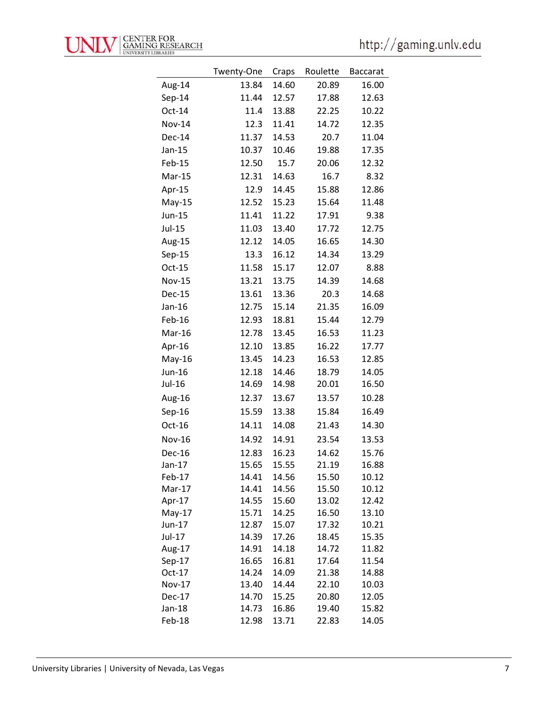|               | Twenty-One | Craps | Roulette | <b>Baccarat</b> |
|---------------|------------|-------|----------|-----------------|
| Aug-14        | 13.84      | 14.60 | 20.89    | 16.00           |
| Sep-14        | 11.44      | 12.57 | 17.88    | 12.63           |
| Oct-14        | 11.4       | 13.88 | 22.25    | 10.22           |
| <b>Nov-14</b> |            | 11.41 |          |                 |
|               | 12.3       |       | 14.72    | 12.35           |
| Dec-14        | 11.37      | 14.53 | 20.7     | 11.04           |
| Jan-15        | 10.37      | 10.46 | 19.88    | 17.35           |
| Feb-15        | 12.50      | 15.7  | 20.06    | 12.32           |
| Mar-15        | 12.31      | 14.63 | 16.7     | 8.32            |
| Apr-15        | 12.9       | 14.45 | 15.88    | 12.86           |
| $May-15$      | 12.52      | 15.23 | 15.64    | 11.48           |
| Jun-15        | 11.41      | 11.22 | 17.91    | 9.38            |
| Jul-15        | 11.03      | 13.40 | 17.72    | 12.75           |
| Aug-15        | 12.12      | 14.05 | 16.65    | 14.30           |
| $Sep-15$      | 13.3       | 16.12 | 14.34    | 13.29           |
| Oct-15        | 11.58      | 15.17 | 12.07    | 8.88            |
| <b>Nov-15</b> | 13.21      | 13.75 | 14.39    | 14.68           |
| Dec-15        | 13.61      | 13.36 | 20.3     | 14.68           |
| Jan-16        | 12.75      | 15.14 | 21.35    | 16.09           |
| Feb-16        | 12.93      | 18.81 | 15.44    | 12.79           |
| Mar-16        | 12.78      | 13.45 | 16.53    | 11.23           |
| Apr-16        | 12.10      | 13.85 | 16.22    | 17.77           |
| $May-16$      | 13.45      | 14.23 | 16.53    | 12.85           |
| Jun-16        | 12.18      | 14.46 | 18.79    | 14.05           |
| Jul-16        | 14.69      | 14.98 | 20.01    | 16.50           |
| Aug-16        | 12.37      | 13.67 | 13.57    | 10.28           |
| $Sep-16$      | 15.59      | 13.38 | 15.84    | 16.49           |
| Oct-16        | 14.11      | 14.08 | 21.43    | 14.30           |
| <b>Nov-16</b> | 14.92      | 14.91 | 23.54    | 13.53           |
| <b>Dec-16</b> | 12.83      | 16.23 | 14.62    | 15.76           |
| $Jan-17$      | 15.65      | 15.55 | 21.19    | 16.88           |
| Feb-17        | 14.41      | 14.56 | 15.50    | 10.12           |
| Mar-17        | 14.41      | 14.56 | 15.50    | 10.12           |
| Apr-17        | 14.55      | 15.60 | 13.02    | 12.42           |
| $May-17$      | 15.71      | 14.25 | 16.50    | 13.10           |
| Jun-17        | 12.87      | 15.07 | 17.32    | 10.21           |
| Jul-17        | 14.39      | 17.26 | 18.45    | 15.35           |
| Aug-17        | 14.91      | 14.18 | 14.72    | 11.82           |
| $Sep-17$      | 16.65      | 16.81 | 17.64    | 11.54           |
| Oct-17        | 14.24      | 14.09 | 21.38    | 14.88           |
| Nov-17        | 13.40      | 14.44 | 22.10    | 10.03           |
| Dec-17        | 14.70      | 15.25 | 20.80    | 12.05           |
| Jan-18        | 14.73      | 16.86 | 19.40    | 15.82           |
| Feb-18        | 12.98      | 13.71 | 22.83    | 14.05           |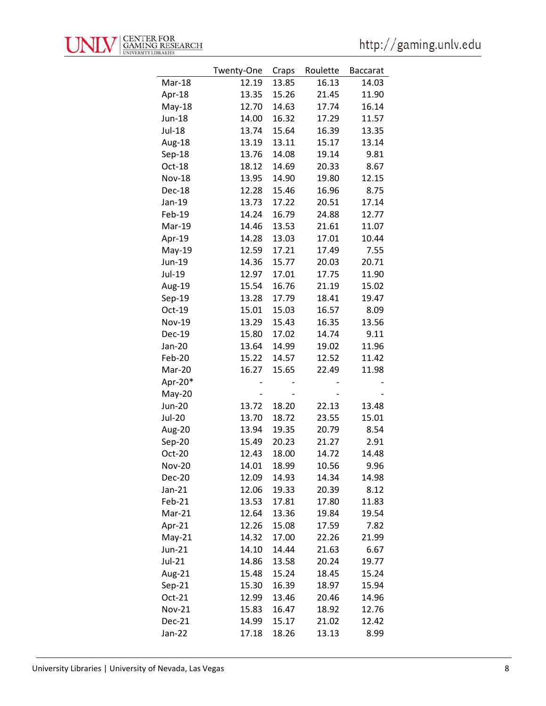

|               | Twenty-One | Craps | Roulette | <b>Baccarat</b> |
|---------------|------------|-------|----------|-----------------|
| Mar-18        | 12.19      | 13.85 | 16.13    | 14.03           |
| Apr-18        | 13.35      | 15.26 | 21.45    | 11.90           |
| $May-18$      | 12.70      | 14.63 | 17.74    | 16.14           |
| <b>Jun-18</b> | 14.00      | 16.32 | 17.29    | 11.57           |
| Jul-18        | 13.74      | 15.64 | 16.39    | 13.35           |
| Aug-18        | 13.19      | 13.11 | 15.17    | 13.14           |
| Sep-18        | 13.76      | 14.08 | 19.14    | 9.81            |
| Oct-18        | 18.12      | 14.69 | 20.33    | 8.67            |
| <b>Nov-18</b> | 13.95      | 14.90 | 19.80    | 12.15           |
| Dec-18        | 12.28      | 15.46 | 16.96    | 8.75            |
| Jan-19        | 13.73      | 17.22 | 20.51    | 17.14           |
| Feb-19        | 14.24      | 16.79 | 24.88    | 12.77           |
| Mar-19        | 14.46      | 13.53 | 21.61    | 11.07           |
| Apr-19        | 14.28      | 13.03 | 17.01    | 10.44           |
| $May-19$      | 12.59      | 17.21 | 17.49    | 7.55            |
| Jun-19        | 14.36      | 15.77 | 20.03    | 20.71           |
| Jul-19        | 12.97      | 17.01 | 17.75    | 11.90           |
| Aug-19        | 15.54      | 16.76 | 21.19    | 15.02           |
| Sep-19        | 13.28      | 17.79 | 18.41    | 19.47           |
| Oct-19        | 15.01      | 15.03 | 16.57    | 8.09            |
| <b>Nov-19</b> | 13.29      | 15.43 | 16.35    | 13.56           |
| <b>Dec-19</b> | 15.80      | 17.02 | 14.74    | 9.11            |
| Jan-20        | 13.64      | 14.99 | 19.02    | 11.96           |
| Feb-20        | 15.22      | 14.57 | 12.52    | 11.42           |
| Mar-20        | 16.27      | 15.65 | 22.49    | 11.98           |
| Apr-20*       |            |       |          |                 |
| May-20        |            |       |          |                 |
| <b>Jun-20</b> | 13.72      | 18.20 | 22.13    | 13.48           |
| <b>Jul-20</b> | 13.70      | 18.72 | 23.55    | 15.01           |
| Aug-20        | 13.94      | 19.35 | 20.79    | 8.54            |
| Sep-20        | 15.49      | 20.23 | 21.27    | 2.91            |
| Oct-20        | 12.43      | 18.00 | 14.72    | 14.48           |
| <b>Nov-20</b> | 14.01      | 18.99 | 10.56    | 9.96            |
| <b>Dec-20</b> | 12.09      | 14.93 | 14.34    | 14.98           |
| Jan-21        | 12.06      | 19.33 | 20.39    | 8.12            |
| Feb-21        | 13.53      | 17.81 | 17.80    | 11.83           |
| Mar-21        | 12.64      | 13.36 | 19.84    | 19.54           |
| Apr-21        | 12.26      | 15.08 | 17.59    | 7.82            |
| $May-21$      | 14.32      | 17.00 | 22.26    | 21.99           |
| Jun-21        | 14.10      | 14.44 | 21.63    | 6.67            |
| Jul-21        | 14.86      | 13.58 | 20.24    | 19.77           |
| Aug-21        | 15.48      | 15.24 | 18.45    | 15.24           |
| $Sep-21$      | 15.30      | 16.39 | 18.97    | 15.94           |
| Oct-21        | 12.99      | 13.46 | 20.46    | 14.96           |
| <b>Nov-21</b> | 15.83      | 16.47 | 18.92    | 12.76           |
| Dec-21        | 14.99      | 15.17 | 21.02    | 12.42           |
| Jan-22        | 17.18      | 18.26 | 13.13    | 8.99            |